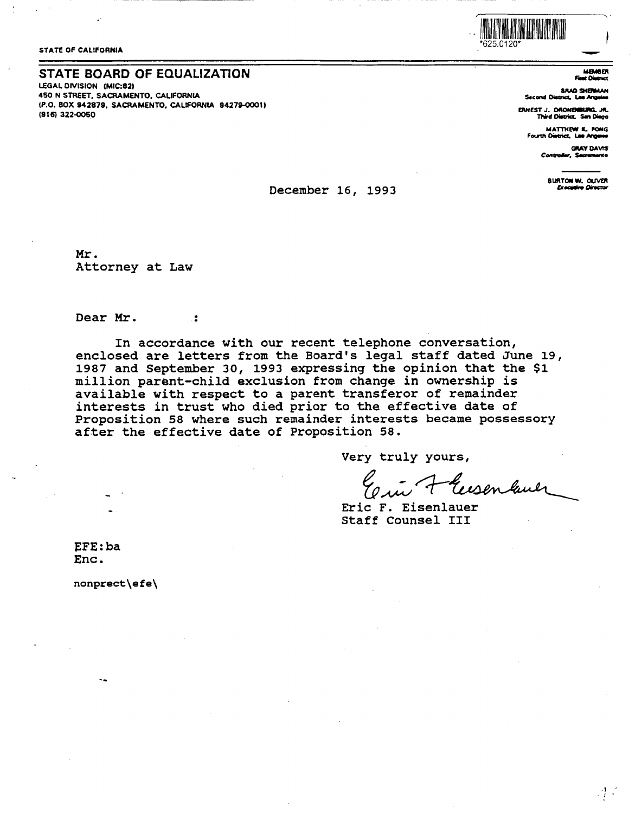

**STATE OF CALIFORNIA** 

### STATE BOARD OF EQUALIZATION

LEGAL DIVISION (MIC:82) 450 N STREET, SACRAMENTO, CALIFORNIA (P.O. BOX 942879, SACRAMENTO, CALIFORNIA 94279-0001) (916) 322-0050

**MBMOER** - 72

**BRAD SHERMAN** Second District, Las Ang

ERNEST J. DRONEMIKING, JR.<br>Third District, San Diago

MATTHEW K. FONG Fourth District, Lee Angel

> **GRAY DAVIS** Contro  $\overline{\phantom{a}}$  . Section

> > **BURTON W. OLIVER**<br>Executive Director

 $\mathbb{R}^3$ 

### December 16, 1993

Mr. Attorney at Law

 $\ddot{\bullet}$ 

Dear Mr.

In accordance with our recent telephone conversation, enclosed are letters from the Board's legal staff dated June 19, 1987 and September 30, 1993 expressing the opinion that the \$1 million parent-child exclusion from change in ownership is available with respect to a parent transferor of remainder interests in trust who died prior to the effective date of Proposition 58 where such remainder interests became possessory after the effective date of Proposition 58.

Very truly yours,

'eisen lauer

Eric F. Eisenlauer Staff Counsel III

EFE:ba Enc.

nonprect\efe\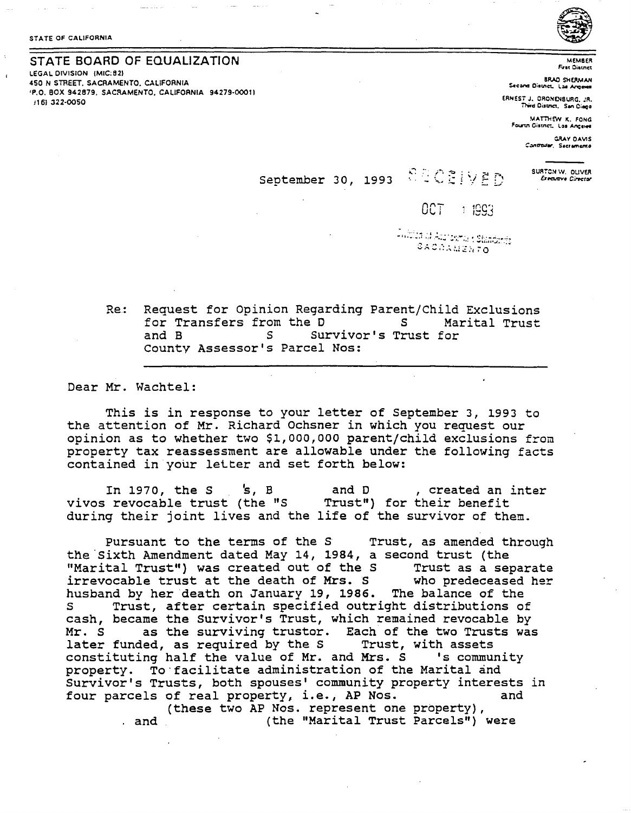## STATE BOARD OF EQUALIZATION

LEGAL DIVISION (MIC:82) 450 N STREET, SACRAMENTO, CALIFORNIA 'P.O. BOX 942879, SACRAMENTO, CALIFORNIA 94279-0001) /16) 322-0050



**MEMBER First District** 

**BRAD SHERMAN** Second District, Las Ange

ERNEST J. DRONENBURG 18 Third District, San Diago

MATTHEW K. FONG Fourth Cistnet, Los Angeles

> GRAY DAVIS Controller, Sacramento

> > SURTON W. OLIVER

Executive Cirector

SECSIVED September 30, 1993

# $007 + 1993$

Taillist of Autosma (Standards SACAAMENTO

Request for Opinion Regarding Parent/Child Exclusions Re: for Transfers from the D S. Marital Trust and B  $\mathsf{S}$ Survivor's Trust for County Assessor's Parcel Nos:

Dear Mr. Wachtel:

This is in response to your letter of September 3, 1993 to the attention of Mr. Richard Ochsner in which you request our opinion as to whether two \$1,000,000 parent/child exclusions from property tax reassessment are allowable under the following facts contained in your letter and set forth below:

In  $1970$ , the S  $\;$   $\;$  S, B and D , created an inter vivos revocable trust (the "S Trust") for their benefit during their joint lives and the life of the survivor of them.

Pursuant to the terms of the S Trust, as amended through the Sixth Amendment dated May 14, 1984, a second trust (the "Marital Trust") was created out of the S Trust as a separate irrevocable trust at the death of Mrs. S who predeceased her husband by her death on January 19, 1986. The balance of the Trust, after certain specified outright distributions of cash, became the Survivor's Trust, which remained revocable by Mr. S as the surviving trustor. Each of the two Trusts was later funded, as required by the S Trust,<br>constituting half the value of Mr. and Mrs. S Trust, with assets 's community property. To facilitate administration of the Marital and Survivor's Trusts, both spouses' community property interests in four parcels of real property, i.e., AP Nos. and (these two AP Nos. represent one property),

(the "Marital Trust Parcels") were . and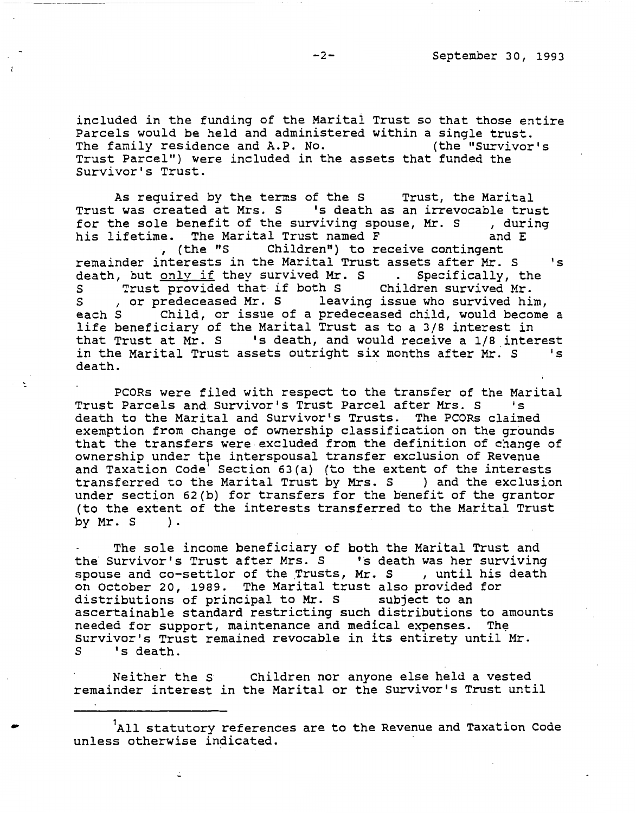included in the funding of the Marital Trust so that those entire Parcels would be held and administered within a single trust.<br>The family residence and A.P. No. (the "Survivor's The family residence and A.P. No. Trust Parcel") were included in the assets that funded the Survivor's Trust.

As required by the terms of the S Trust, the Marital Trust was created at Mrs. S 's death as an irrevocable trust for the sole benefit of the surviving spouse, Mr. S , during<br>his lifetime. The Marital Trust named F and E his lifetime. The Marital Trust named F ·, {the "S Children") to receive contingent remainder interests in the Marital Trust assets after Mr. s 's death, but <u>only if</u> they survived Mr. S . Specifically, the

S Trust provided that if both S Children survived Mr. S , or predeceased Mr. S leaving issue who survived him,<br>each S Child, or issue of a predeceased child, would become Child, or issue of a predeceased child, would become a life beneficiary of the Marital Trust as to a 3/8 interest in that Trust at Mr. S 's death, and would receive a 1/8 interest<br>in the Marital Trust assets outright six months after Mr. S 's in the Marital Trust assets outright six months after *Mr.* S death.

PCORs were filed with respect to the transfer of the Marital<br>Parcels and Survivor's Trust Parcel after Mrs. S 1s Trust Parcels and Survivor's Trust Parcel after Mrs. S death to the Marital and Survivor's Trusts. The PCORs claimed exemption from change of ownership classification on the grounds that the transfers were excluded from the definition of change of ownership under tpe interspousal transfer exclusion of Revenue and Taxation Code' Section 63(a) (to the extent of the interests transferred to the Marital Trust **by Mrs.** S ) and the exclusion under section 62(b) for transfers for the benefit of the grantor (to the extent of the interests transferred to the Marital Trust by **Mr. S** ) .

The sole income beneficiary of both the Marital Trust and the Survivor's Trust after Mrs. S 's death was her surviving spouse and co-settlor of the Trusts, Mr. S , until his death on October 20, 1989. The Marital trust also provided for distributions of principal to Mr. S subject to an ascertainable standard restricting such distributions to amounts needed for support, maintenance and medical expenses. The Survivor's Trust remained revocable in its entirety until Mr. 's death.

Neither the s Children nor anyone else held a vested remainder interest in the Marital or the Survivor's Trust until

 $\bullet$  1 All statutory references are to the Revenue and Taxation Code unless otherwise indicated.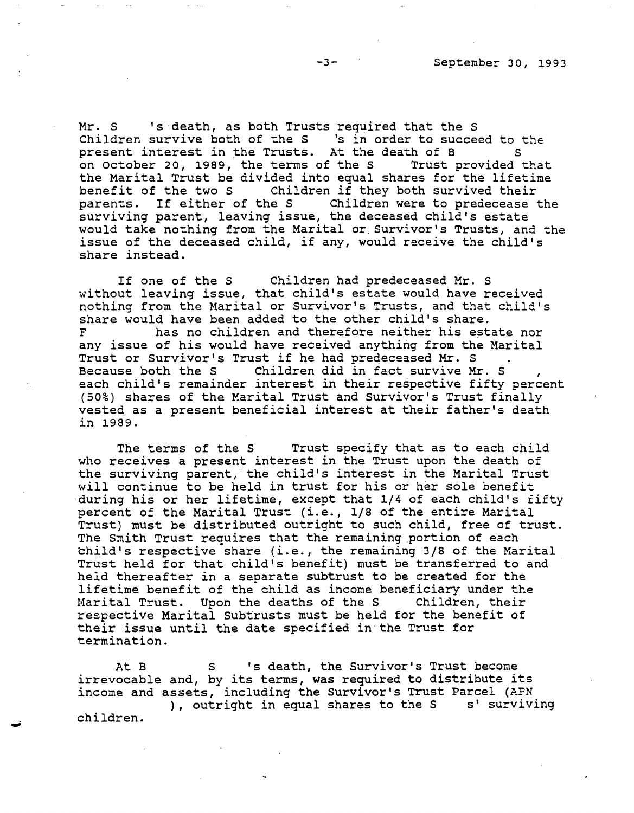Mr. S 's death, as both Trusts required that the S AI. S S Geath, as both flusts required that the S<br>Children survive both of the S 's in order to succeed to the present interest in the Trusts. At the death of B s on October 20, 1989, the terms of the S Trust provided that the Marital Trust be divided into equal shares for the lifetime<br>benefit of the two S Children if they both survived their Children if they both survived their<br>e S children were to predecease the parents. If either of the S surviving parent, leaving issue, the deceased child's estate would take nothing from the Marital or Survivor's Trusts, and the issue of the deceased child, if any, would receive the child's share instead.

If one of the S Children had predeceased Mr. S without leaving issue, that child's estate would have received nothing from the Marital or survivor's Trusts, and that child's share would have been added to the other child's share. F has no children and therefore neither his estate nor any issue of his would have received anything from the Marital Trust or Survivor's Trust if he had predeceased Mr. s Children did in fact survive Mr. S each child's remainder interest in their respective fifty percent (50%) shares of the Marital Trust and survivor's Trust finally vested as a present beneficial interest at their father's death in 1989.

The terms of the S Trust specify that as to each child who receives a present interest in the Trust upon the death of the surviving parent, the child's interest in the Marital Trust will continue to be held in trust for his or her sole benefit during his or her lifetime, except that 1/4 of each child's fifty percent of the Marital Trust (i.e., 1/8 of the entire Marital Trust) must be distributed outright to such child, free of trust. The Smith Trust requires that the remaining portion of each child's respective share (i.e., the remaining 3/8 of the Marital Trust held for that child's benefit) must be transferred to and held thereafter in a separate subtrust to be created for the lifetime benefit of the child as income beneficiary under the Marital Trust. Upon the deaths of the S respective Marital Subtrusts must be held for the benefit of their issue until the date specified in·the Trust for termination.

At B s S S 's death, the Survivor's Trust become irrevocable and, by its terms, was required to distribute its income and assets, including the Survivor's Trust Parcel (APN ), outright in equal shares to the S s' surviving children.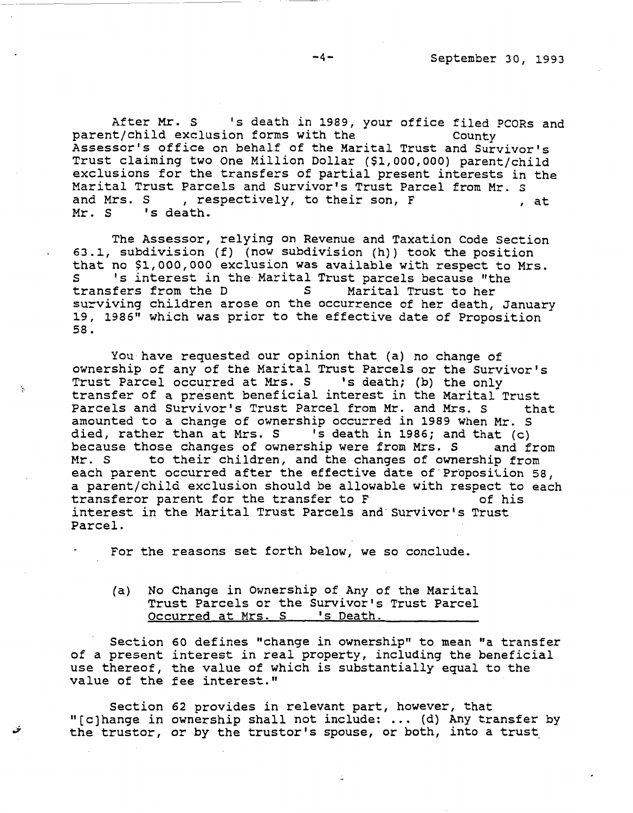After Mr. S 's death in 1989, your office filed PCORs and<br>it/child exclusion forms with the county parent/child exclusion forms with the Assessor's office on behalf of the Marital Trust and Survivor's Trust claiming two One Million Dollar (\$1,000,000) parent/child exclusions for the transfers of partial present interests in the Marital Trust Parcels and survivor's Trust Parcel from Mr. s and Mrs. S , respectively, to their son, F , at Mr. S 's death.

The Assessor, relying on Revenue and Taxation Code Section 63.1, subdivision (f) (now subdivision (h)) took the position that no \$1,000,000 exclusion was available with respect to Mrs.<br>S interest in the Marital Trust parcels because "the S 's interest in the Marital Trust parcels because "the<br>transfers from the D S Marital Trust to her Marital Trust to her surviving children arose on the occurrence of her death, January 19, 1986" which was prior to the effective date of Proposition 58.

You have requested our opinion that (a) no change of ownership of any of the Marital Trust Parcels or the Survivor's Trust Parcel occurred at Mrs. S 's death; (b) the only transfer of a present beneficial interest in the Marital Trust<br>Parcels and Survivor's Trust Parcel from Mr. and Mrs. S that Parcels and Survivor's Trust Parcel from Mr. and Mrs. S amounted to a change of ownership occurred in 1989 when Mr. S died, rather than at Mrs. S 's death in 1986; and that (c)<br>because those changes of ownership were from Mrs. S and from because those changes of ownership were from Mrs. S<br>Mr. S and the changes of owners to their children, and the changes of ownership from each parent occurred after the effective date of Proposition 58, a parent/child exclusion should be allowable with respect to each<br>transferor parent for the transfer to F 6 this transferor parent for the transfer to F interest *in* the Marital Trust Parcels and·survivor's Trust Parcel.

For the reasons set forth below, we so conclude.

(a) No Change in Ownership of Any of the Marital Trust Parcels or the Survivor's Trust Parcel Occurred at Mrs. S 's Death.

Section 60 defines "change in ownership" to mean "a transfer of a present interest in real property, including the beneficial use thereof, the value of which is substantially equal to the value of the fee interest."

Section 62 provides in relevant part, however, that "(c]hange in ownership shall not include: ... (d) Any transfer by the trustor, or by the trustor's spouse, or both, into a trust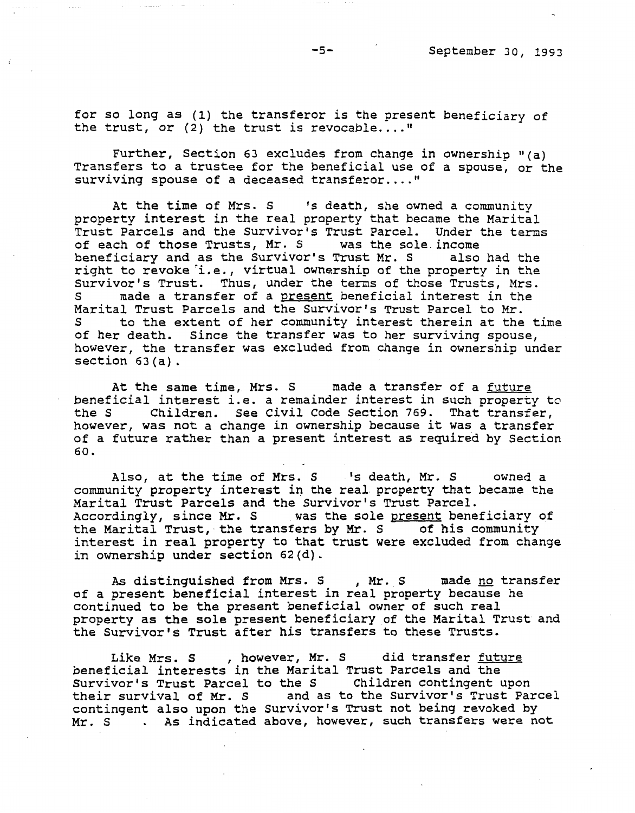for so long as (1) the transferor is the present beneficiary of the trust, or  $(2)$  the trust is revocable...."

Further, Section 63 excludes from change in ownership  $''(a)$ Transfers to a trustee for the beneficial use of a spouse, or the surviving spouse of a deceased transferor.... "

At the time of Mrs. S 's death, she owned a community property interest in the real property that became the Marital Trust Parcels and the Survivor's Trust Parcel. Under the terms of each of those Trusts, Mr. S was the sole.income beneficiary and as the survivor's Trust Mr. s also had the right to revoke i.e., virtual ownership of the property in the Survivor's Trust. Thus, under the terms of those Trusts, Mrs.<br>S ande a transfer of a present beneficial interest in the made a transfer of a present beneficial interest in the Marital Trust Parcels and the Survivor's Trust Parcel to Mr.<br>S are to the extent of her community interest therein at the to the extent of her community interest therein at the time of her death. Since the transfer was to her surviving spouse, however, the transfer was excluded from change in ownership under section 63(a).

At the same time, Mrs. S made a transfer of a future beneficial interest i.e. a remainder interest in such property to<br>the S Children. See Civil Code Section 769. That transfer, Children. See Civil Code Section 769. That transfer, however, was not a change in ownership because it was a transfer of a future rather than a present interest as required by Section 60.

Also, at the time of Mrs. S 's death, Mr. S owned a community property interest in the real property that became the Marital Trust Parcels and the Survivor's Trust Parcel. Accordingly, since Mr. S was the sole present beneficiary of the Marital Trust, the transfers by Mr. S of his community interest in real property to that trust were excluded from change in ownership under section 62(d).

As distinguished from Mrs. S , Mr. S made no transfer of a present beneficial interest in real property because he continued to be the present beneficial owner of such real property as the sole present beneficiary of the Marital Trust and the survivor's Trust after his transfers to these Trusts.

Like Mrs. S , however, Mr. S did transfer future beneficial interests in the Marital Trust Parcels and the Survivor's Trust Parcel to the S Children contingent upon their survival of Mr. s and as to the survivor's Trust Parcel contingent also upon the survivor's Trust not being revoked by Mr. S . As indicated above, however, such transfers were not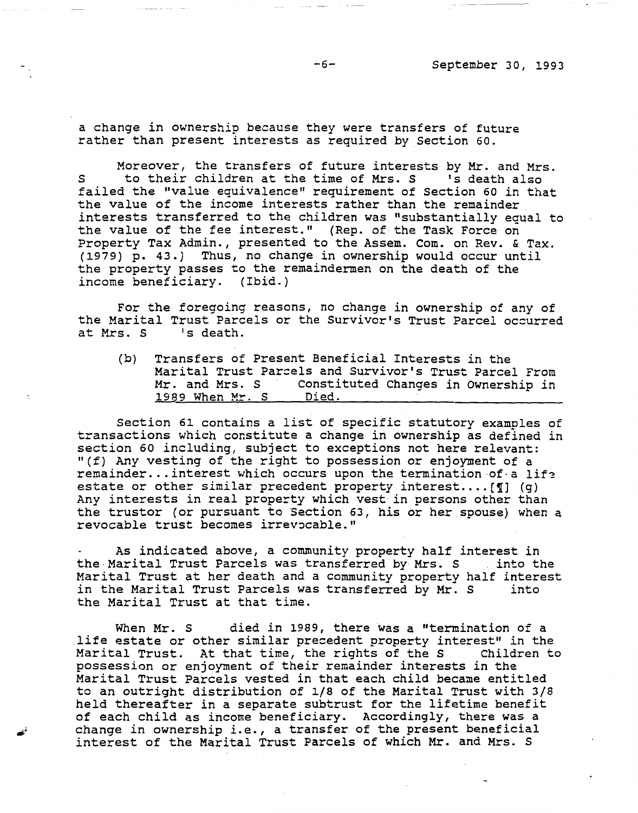a change in ownership because they were transfers of future rather than present interests as required by Section 60.

Moreover, the transfers of future interests by Mr. and Mrs. S to their children at the time of Mrs. S 's death also failed the ''value equivalence" requirement of Section 60 in that the value of the income interests rather than the remainder interests transferred to the children was "substantially equal to the value of the fee interest." (Rep. of-the Task Force on Property Tax Admin., presented to the Assem. Com. on Rev. & Tax. (1979) p. 43.) Thus, no change in ownership would occur until the property passes to the remaindermen on the death of the income beneficiary. (Ibid.)

For the foregoing reasons, no change in ownership of any of the Marital Trust Parcels or the Survivor's Trust Parcel oc=urred at Mrs. S

(b) Transfers of Present Beneficial Interests in the Marital Trust Parcels and Survivor's Trust Parcel From Mr. and Mrs. S Constituted Changes in Ownership in 1989 When Mr. S Died.

Section 61 contains a list of specific statutory examples of transactions which constitute a change in ownership as defined in section 60 including, subject to exceptions not here relevant: "(f) Any vesting of the right to possession or enjoyment of a remainder... interest which occurs upon the termination of a life estate or other similar precedent property interest.... [1] (g) Any interests in real property which vest in persons other than the trustor (or pursuant to Section 63, his or her spouse) when a revocable trust becomes irrevocable."

As indicated above, a community property half interest in the Marital Trust Parcels was transferred by Mrs. S . into the Marital Trust at her death and a community property half interest in the Marital Trust Parcels was transferred by Mr. S into the Marital Trust at that time.

When Mr. S died in 1989, there was a "termination of a life estate or other similar precedent property interest" in the<br>Marital Trust. At that time, the rights of the S Children to Marital Trust. At that time, the rights of the S possession or enjoyment of their remainder interests in the Marital Trust Parcels vested *in* that each child became entitled to an outright distribution of 1/8 of the Marital Trust with 3/8 held thereafter in a separate subtrust for the lifetime benefit of each child as income beneficiary. Accordingly, there was a change in ownership i.e., a transfer of the present beneficial interest of the Marital Trust Parcels of which Mr. and Mrs. s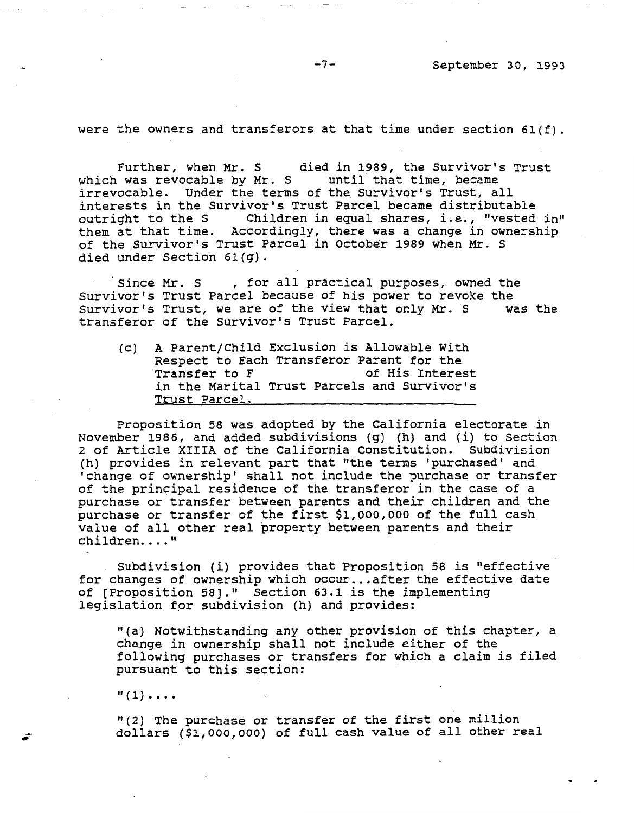were the owners and transferors at that time under section  $61(f)$ .

Further, when Mr. S died in 1989, the Survivor's Trust which was revocable by Mr. S until that time, became irrevocable. Under the terms of the Survivor's Trust, all interests in the Survivor's Trust Parcel became distributable outright to the S Children in equal shares, i.e., "vested in" them at that time. Accordingly, there was a change in ownership of the Survivor's Trust Parcel in October 1989 when Mr. s died under Section 6l(g).

Since Mr. S , for all practical purposes, owned the Survivor's Trust Parcel because of his power to revoke the<br>Survivor's Trust, we are of the view that only Mr. S was the Survivor's Trust, we are of the view that only Mr. S transferor of the Survivor's Trust Parcel.

(c) A Parent/Child Exclusion is Allowable With Respect to Each Transferor Parent for the<br>Transfer to F and the of His Interest of His Interest in the Marital Trust Parcels and Survivor's Trust Parcel.

Proposition 58 was adopted by the California electorate in November 1986, and added subdivisions {g) (h) and (i) to Section 2 of Article **XIIIA** of the California Constitution. Subdivision (h) provides in relevant part that "the terms 'purchased' and 'change of ownership' shall not include the purchase or transfer of the principal residence of the transferor in the case of a purchase or transfer between parents and their children and the purchase or transfer of the first \$1,000,000 of the full cash value of all other real property between parents and their children...."

Subdivision (i) provides that Proposition 58 is "effective for changes of ownership which occur... after the effective date of [Proposition 58]." Section 63.1 is the implementing legislation for subdivision (h) and provides:

"(a) Notwithstanding any other provision of this chapter, a change in ownership shall not include either of the following purchases or transfers for which a claim is filed pursuant to this section:

 $"(1) \ldots$ 

"(2) The purchase or transfer of the first one million dollars (\$1,000,000) of full cash value of all other real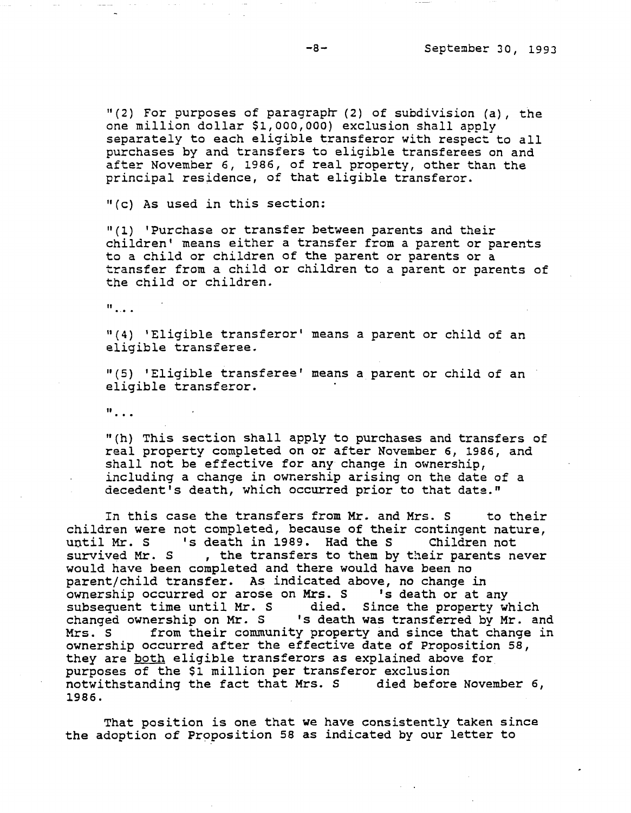$"$ (2) For purposes of paragraph (2) of subdivision (a), the one million dollar \$1,000,000} exclusion shall apply separately to each eligible transferor with respect to all purchases by and transfers to eligible transferees on and after November 6, 1986, of real property, other than the principal residence, of that eligible transferor.

"(c) As used in this section:

"(l) 'Purchase or transfer between parents and their children' means either a transfer from a parent or parents to a child or children of the parent or parents or a transfer from a child or children to a parent or parents of the child or children.

 $\mathbf{H}$  and  $\mathbf{H}$ 

<sup>11</sup>(4) 'Eligible transferor' means a parent or child of an eligible transferee.

"(5) 'Eligible transferee' means a parent or child of an eligible transferor.

 $\mathbf{u}_{\perp}$ .

"(h} This section shall apply to purchases and transfers of real property completed on or after November 6, 1986, and shall not be effective for any change in ownership, including a change in ownership arising on the date of a decedent's death, which occurred prior to that date."

In this case the transfers from Mr. and Mrs. S to their children were not completed, because of their contingent nature, until Mr. s 's death in 1989. Had the s Children not survived Mr. S , the transfers to them by their parents never would have been completed and there would have been no parent/child transfer. As indicated above, no change in ownership occurred or arose on Mrs. s 's death or at any subsequent time until Mr. S died. Since the property which subsequent time until in . S and the since the property which<br>changed ownership on Mr. S aleath was transferred by Mr. and Mrs. S from their community property and since that change in ownership occurred after the effective date of Proposition 58, they are both eligible transferors as explained above for purposes of the \$1 million per transferor exclusion notwithstanding the fact that Mrs. S died before November 6, 1986.

That position is one that we have consistently taken since the adoption of Proposition 58 as indicated by our letter to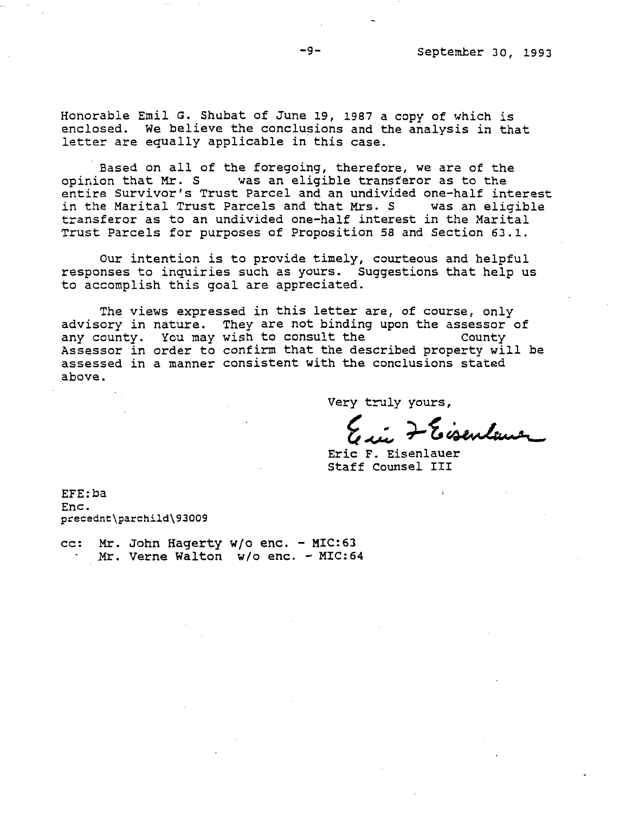Honorable Emil G. Shubat of June 19, 1987 a copy of which is enclosed. We believe the conclusions and the analysis in that letter are equally applicable in this case.

Based on all of the foregoing, therefore, we are of the opinion that Mr. S was an eligible transferor as to the entire Survivor's Trust Parcel and an undivided one-half interest in the Marital Trust Parcels and that Mrs. S was an eligible transferor as to an undivided one-half interest in the Marital Trust Parcels for purposes of Proposition 58 and Section 63.1.

Our intention is to provide timely, courteous and helpful responses to inquiries such as yours. Suggestions that help us to accomplish this goal are appreciated.

The views expressed *in* this letter are, of course, only advisory in nature. They are not binding upon the assessor of<br>any county. You may wish to consult the county any county. You may wish to consult the Assassor in order to confirm that the described property will be assessed in a manner consistent with the conclusions stated above.

Very truly yours,

~~+-~~ F. Eisenlauer

Eric F. Eisenlauer Staff counsel III

EFE:ba Enc. precednt\parchild\93009

cc: Mr. John Hagerty w/o enc. - MIC:63 Mr. Verne Walton W/o enc. - MIC:64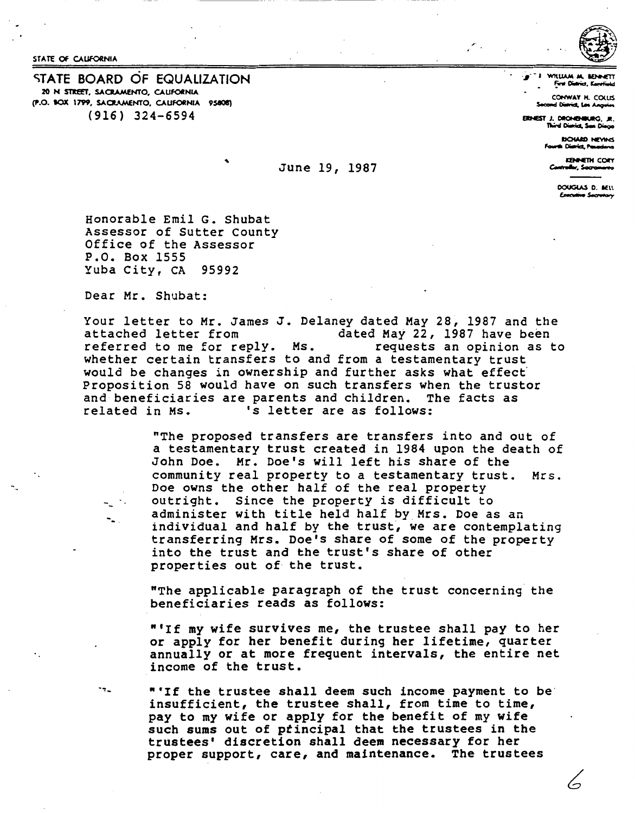STATE OF CALIFORNIA

STATE BOARD OF EQUALIZATION 20 N STREET, SACRAMENTO, CALIFORNIA (P.O. BOX 1799, SACRAMENTO, CALIFORNIA 95808)  $(916)$  324-6594

"I WILLIAM M. BEN First District, Kane

> CONWAY H. COLIIS d District, Los Angel

ERNEST J. DRONENBURG, JR. rd Dianicz, Sam Diago

> **BOWED NEYINS** Digital Penader

**ISBAETH COFY** 

DOUGLAS D. MELL Esecutive Secretary

Honorable Emil G. Shubat Assessor of Sutter County Office of the Assessor P.O. Box 1555 Yuba City, CA 95992

Dear Mr. Shubat:

∼.

٠,.

Your letter to Mr. James J. Delaney dated May 28, 1987 and the dated May 22, 1987 have been attached letter from requests an opinion as to referred to me for reply. Ms. whether certain transfers to and from a testamentary trust would be changes in ownership and further asks what effect Proposition 58 would have on such transfers when the trustor and beneficiaries are parents and children. The facts as 's letter are as follows: related in Ms.

June 19, 1987

"The proposed transfers are transfers into and out of a testamentary trust created in 1984 upon the death of John Doe. Mr. Doe's will left his share of the community real property to a testamentary trust. Mrs. Doe owns the other half of the real property outright. Since the property is difficult to administer with title held half by Mrs. Doe as an individual and half by the trust, we are contemplating transferring Mrs. Doe's share of some of the property into the trust and the trust's share of other properties out of the trust.

"The applicable paragraph of the trust concerning the beneficiaries reads as follows:

"'If my wife survives me, the trustee shall pay to her or apply for her benefit during her lifetime, quarter annually or at more frequent intervals, the entire net income of the trust.

"'If the trustee shall deem such income payment to be insufficient, the trustee shall, from time to time, pay to my wife or apply for the benefit of my wife such sums out of principal that the trustees in the trustees' discretion shall deem necessary for her proper support, care, and maintenance. The trustees

L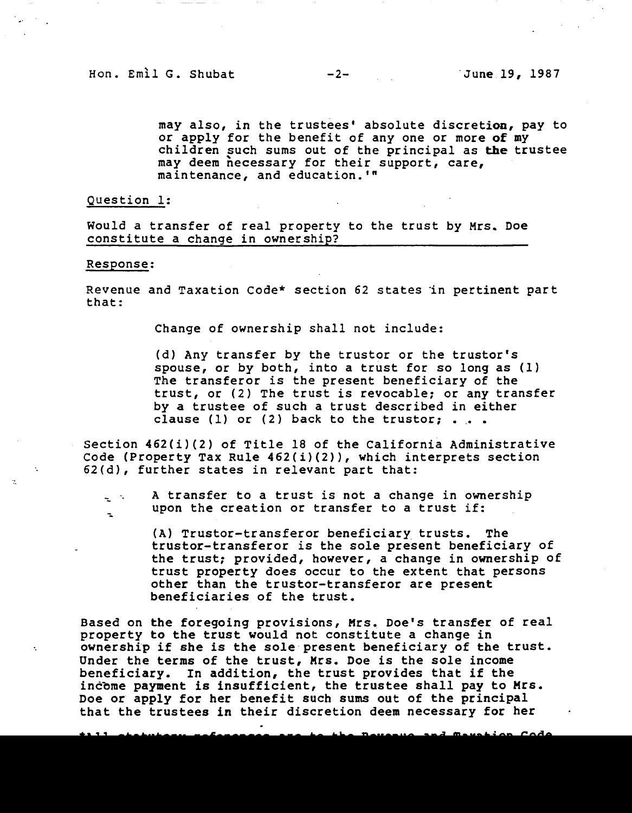may also, in the trustees' absolute discretion, pay to or apply for the benefit of any one or more of my children such sums out of the principal as the trustee may deem necessary for their support, care, maintenance, and education.'"

Question 1:

Would a transfer of real property to the trust by Mrs. Doe constitute a change in ownership?

#### Response:

Revenue and Taxation Code\* section 62 states in pertinent part that:

Change of ownership shall not include:

(d) Any transfer by the trustor or the trustor's spouse, or by both, into a trust for so long as (1) The transferor is the present beneficiary of the trust, or (2) The trust is revocable; or any transfer by a trustee of such a trust described in either clause (1) or (2) back to the trustor;  $\ldots$ 

Section 462(i)(2) of Title 18 of the California Administrative Code (Property Tax Rule 462(i)(2)), which interprets section 62(d), further states in relevant part that:

A transfer to a trust is not a change in ownership upon the creation or transfer to a trust if:

> (A) Trustor-transferor beneficiary trusts. The trustor-transferor is the sole present beneficiary of the trust: provided, however, a change in ownership of trust property does occur to the extent that persons other than the trustor-transferor are present beneficiaries of the trust.

Based on the foregoing provisions, Mrs. Doe's transfer of real property to the trust would not constitute a change in ownership if she is the sole present beneficiary of the trust. Under the terms of the trust, Mrs. Doe is the sole income beneficiary. In addition, the trust provides that if the incbme payment is insufficient, the trustee shall pay to **Mrs.**  Doe or apply for her benefit such sums out of the principal that the trustees in their discretion deem necessary for her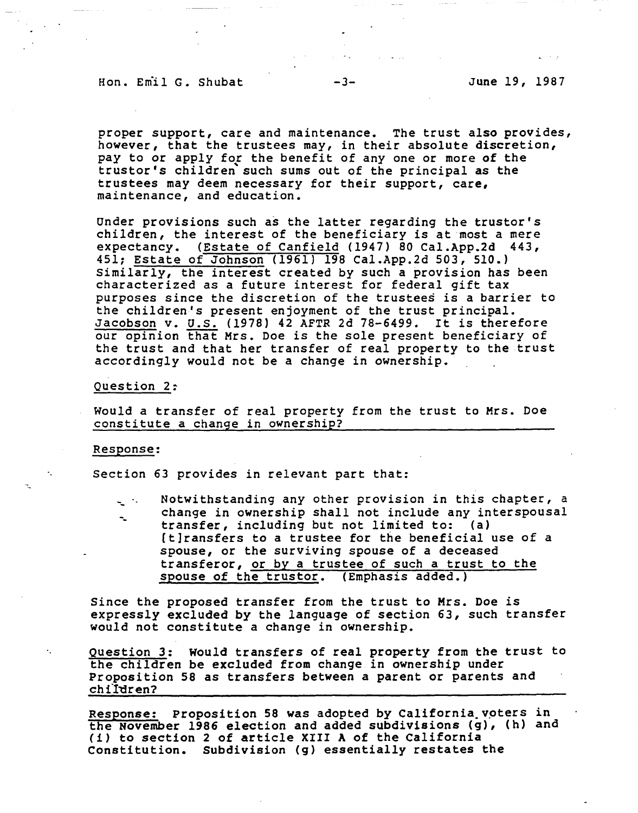## Hon. Emil G. Shubat -3- June 19, 1987

proper support, care and maintenance. The trust also provides, however, that the trustees may, in their absolute discretion, pay to or apply for the benefit of any one or more of the truster's children such sums out of the principal as the trustees may deem necessary for their support, care, maintenance, and education.

Under provisions such as the latter regarding the trustor's children, the interest of the beneficiary is at most a mere expectancy. {Estate of Canfield (1947) 80 [Cal.App.2d](https://Cal.App.2d) 443, 451; Estate of Johnson (1961) 198 [Cal.App.2d](https://Cal.App.2d) 503, 510.) Similarly, the interest created by such a provision has been characterized as a future interest for federal gift tax purposes since the discretion of the trustees is a barrier to the children's present enjoyment of the trust principal. Lhe children s present enjoyment of the trust principal.<br>Jacobson v. U.S. (1978) 42 AFTR 2d 78-6499. It is therefore our opinion that Mrs. Doe is the sole present beneficiary of the trust and that her transfer of real property to the trust accordingly would not be a change in ownership.

#### Question 2:

Would a transfer of real property from the trust to Mrs. Doe constitute a change in ownership?

#### Response:

 $\ddot{\phantom{a}}$ 

Section 63 provides in relevant part that:

-- -- Notwithstanding any other provision in this chapter, a change in ownership shall not include any interspousal transfer, including but not limited to: (a) [t]ransfers to a trustee for the beneficial use of a spouse, or the surviving spouse of a deceased transferor, or by a trustee of such a trust to the spouse of the trustor. (Emphasis added.)

Since the proposed transfer from the trust to Mrs. Doe is expressly excluded by the language of section 63, such transfer would not constitute a change in ownership.

Question 3: would transfers of real property from the trust to the children be excluded from change in ownership under Proposition 58 as transfers between a parent or parents and children?

Response: Proposition 58 was adopted by California voters in the November 1986 election and added subdivisions (g), (h) and (i) to section 2 of article XIII A of the California Constitution. Subdivision (g) essentially restates the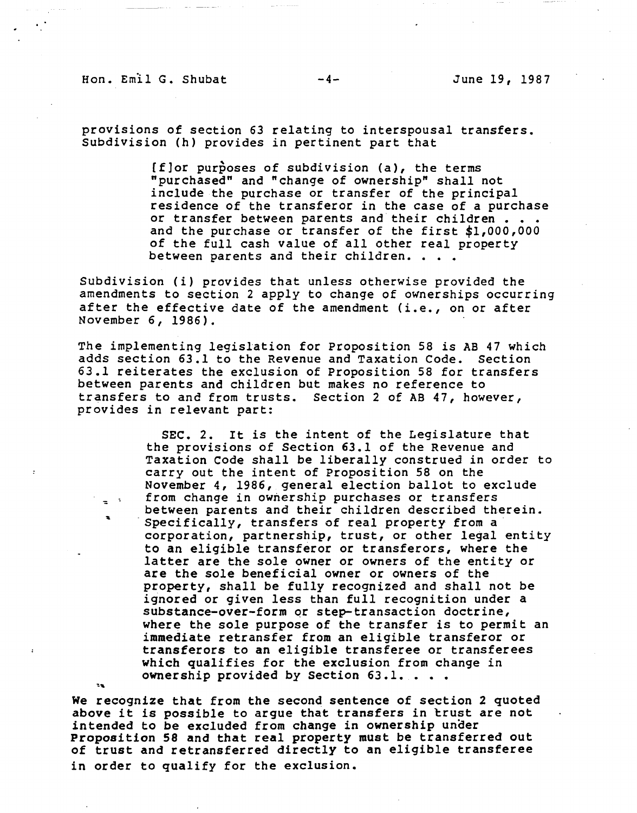Hon. Emil G. Shubat  $-4-$  June 19, 1987

provisions of section 63 relating to interspousal transfers. Subdivision (h) provides in pertinent part that

> [f]or purposes of subdivision (a), the terms "purchased" and "change of ownership" shall not include the purchase or transfer of the principal residence of the transferor in the case of a purchase<br>or transfer between parents and their children ••••• or transfer between parents and their children . . . dond the purchase or transfer of the first \$1,000,000 of the full cash value of all other real property<br>between parents and their children....

Subdivision (i) provides that unless otherwise provided the amendments to section 2 apply to change of ownerships occurring after the effective date of the amendment (i.e., on or after November 6, 1986).

The implementing legislation for Proposition 58 is AB 47 which adds section 63.1 to the Revenue and Taxation Code. Section 63.1 reiterates the exclusion of Proposition 58 for transfers between parents and children but makes no reference to transfers to and from trusts. Section 2 of AB 47, however, provides in relevant part:

> **SEC.** 2. It is the intent of the Legislature that the provisions of Section 63.1 of the Revenue and Taxation code shall be liberally construed in order to carry out the intent of Proposition 58 on the November 4, 1986, general election ballot to exclude from change in ownership purchases or transfers between parents and their children described therein.<br>Specifically, transfers of real property from a corporation, partnership, trust, or other legal entity to an eligible transferor or transferors, where the latter are the sole owner or owners of the entity or are the sole beneficial owner or owners of the property, shall be fully recognized and shall not be ignored or given less than full recognition under a substance-over-form or step-transaction doctrine, **where** the sole purpose of the transfer is to permit an immediate retransfer from an eligible transferor or transferors to an eligible transferee or transferees which qualifies for the exclusion from change in ownership provided by Section 63.l••••

We recognize that from the second sentence of section 2 quoted above it is possible to argue that transfers in trust are not intended to be excluded from change in ownership under Proposition 58 and that real property must be transferred out of trust and retransferred directly to an eligible transferee in order to qualify for the exclusion.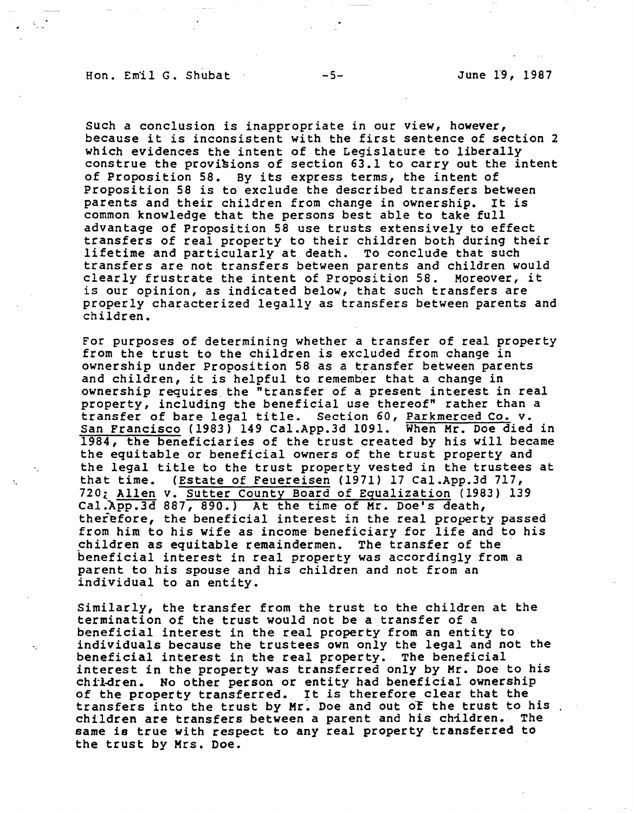## Hon. Emil G. Shubat -5- June 19, 1987

such a conclusion is inappropriate in our view, however, because it is inconsistent with the first sentence of section 2 which evidences the intent of the Legislature to liberally construe the provisions of section 63.1 to carry out the intent of Proposition 58. By its express terms, the intent of Proposition 58 is to exclude the described transfers between parents and their children from change in ownership. It is common knowledge that the persons best able to take full advantage of Proposition 58 use trusts extensively to effect transfers of real property to their children both during their lifetime and particularly at death. To conclude that such transfers are not transfers between parents and children would<br>clearly frustrate the intent of Proposition 58. Moreover, it clearly frustrate the intent of Proposition 58. is our opinion, as indicated below, that such transfers are properly characterized legally as transfers between parents and children.

For purposes of determining whether a transfer of real property from the trust to the children is excluded from change in ownership under Proposition 58 as a transfer between parents and children, it is helpful to remember that a change in ownership requires the "transfer of a present interest in real property, including the beneficial use thereof" rather than a transfer of bare legal title. Section 60, Parkmerced Co. v. San Francisco (1983) 149 [Cal.App.3d](https://Cal.App.3d) 1091. When Mr. Doe died in 1984, the beneficiaries of the trust created by his will became the equitable or beneficial owners of the trust property and the legal title to the trust property vested in the trustees at that time. (Estate of Feuereisen (1971) 17 [Cal.App.3d](https://Cal.App.3d) 717, 720i Allen v. Sutter County Board of Equalization (1983) 139 [Cal.App.3d](https://Cal.App.3d) 887, 890.) At the time of Mr. Doe's death, therefore, the beneficial interest in the real property passed from him to his wife as income beneficiary for life and to his children as equitable remaindermen. The transfer of the beneficial interest in real property was accordingly from a parent to his spouse and his children and not from an individual to an entity.

Similarly, the transfer from the trust to the children at the termination of the trust would not be a transfer of a beneficial interest in the real property from an entity to individuals because the trustees own only the legal and not the beneficial interest in the real property. The beneficial interest in the property was transferred only by Mr. Doe to his chrl-dren. No other person or entity had beneficial ownership chilaren. No other person or entity had beneficial ownership<br>of the property transferred. It is therefore clear that the transfers into the trust by Mr. Doe and out of the trust to his. children are transfers between a parent and his children. The same is true with respect to any real property transferred to the trust by Mrs. Doe.